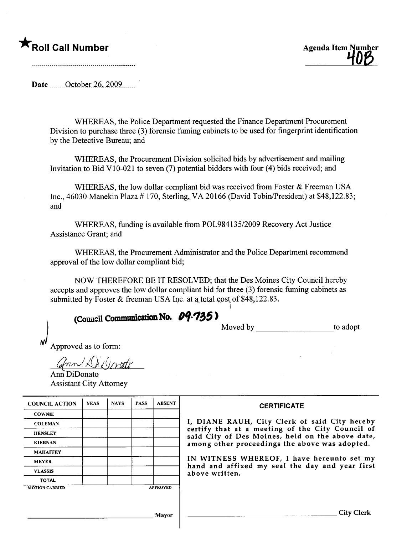## $\bigstar$  Roll Call Number



Date  $\qquad$  October 26, 2009

WHEREAS, the Police Department requested the Finance Department Procurement Division to purchase three (3) forensic fuming cabinets to be used for fingerprint identification by the Detective Bureau; and

WHEREAS, the Procurement Division solicited bids by advertisement and mailing Invitation to Bid VlO-021 to seven (7) potential bidders with four (4) bids received; and

WHEREAS, the low dollar compliant bid was received from Foster & Freeman USA Inc., 46030 Manekin Plaza # 170, Sterling, V A 20166 (David Tobin/President) at \$48,122.83; and

WHEREAS, funding is available from POL98413512009 Recovery Act Justice Assistance Grant; and

WHEREAS, the Procurement Administrator and the Police Department recommend approval of the low dollar compliant bid;

NOW THEREFORE BE IT RESOLVED; that the Des Moines City Council hereby accepts and approves the low dollar compliant bid for three (3) forensic fuming cabinets as submitted by Foster  $&$  freeman USA Inc. at a total cost of \$48,122.83.

 $\overline{\phantom{a}}$ 

## (Council Communication No.  $09.735$ )

Moved by to adopt

Approved as to form:

Ann Di Dorate

Ann DiDonato Assistant City Attorney

| <b>COUNCIL ACTION</b> | <b>YEAS</b> | <b>NAVS</b> | <b>PASS</b> | <b>ABSENT</b>   | <b>CERTIFICATE</b>                                                                                   |
|-----------------------|-------------|-------------|-------------|-----------------|------------------------------------------------------------------------------------------------------|
| <b>COWNIE</b>         |             |             |             |                 |                                                                                                      |
| <b>COLEMAN</b>        |             |             |             |                 | I, DIANE RAUH, City Clerk of said City hereby                                                        |
| <b>HENSLEY</b>        |             |             |             |                 | certify that at a meeting of the City Council of<br>said City of Des Moines, held on the above date, |
| <b>KIERNAN</b>        |             |             |             |                 | among other proceedings the above was adopted.                                                       |
| <b>MAHAFFEY</b>       |             |             |             |                 |                                                                                                      |
| <b>MEYER</b>          |             |             |             |                 | IN WITNESS WHEREOF, I have hereunto set my<br>hand and affixed my seal the day and year first        |
| <b>VLASSIS</b>        |             |             |             |                 | above written.                                                                                       |
| <b>TOTAL</b>          |             |             |             |                 |                                                                                                      |
| <b>MOTION CARRIED</b> |             |             |             | <b>APPROVED</b> |                                                                                                      |
|                       |             |             |             |                 |                                                                                                      |
|                       |             |             |             |                 |                                                                                                      |
|                       |             |             |             | Mayor           | City                                                                                                 |